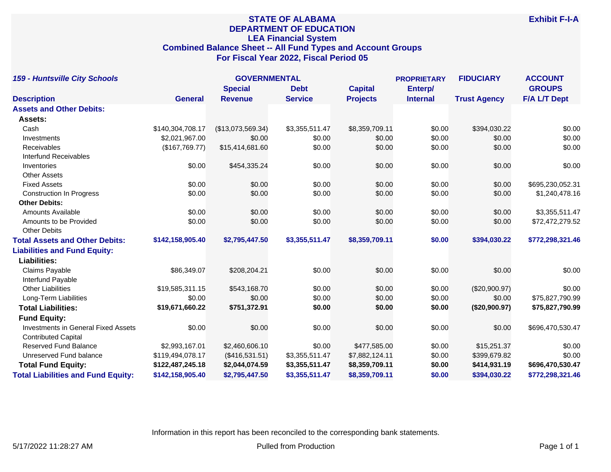# **STATE OF ALABAMA DEPARTMENT OF EDUCATION LEA Financial System Combined Balance Sheet -- All Fund Types and Account Groups For Fiscal Year 2022, Fiscal Period 05**

| <b>159 - Huntsville City Schools</b>       |                  | <b>GOVERNMENTAL</b> |                |                 | <b>PROPRIETARY</b> |                     | <b>ACCOUNT</b>      |
|--------------------------------------------|------------------|---------------------|----------------|-----------------|--------------------|---------------------|---------------------|
|                                            |                  | <b>Special</b>      | <b>Debt</b>    | <b>Capital</b>  | Enterp/            |                     | <b>GROUPS</b>       |
| <b>Description</b>                         | <b>General</b>   | <b>Revenue</b>      | <b>Service</b> | <b>Projects</b> | <b>Internal</b>    | <b>Trust Agency</b> | <b>F/A L/T Dept</b> |
| <b>Assets and Other Debits:</b>            |                  |                     |                |                 |                    |                     |                     |
| Assets:                                    |                  |                     |                |                 |                    |                     |                     |
| Cash                                       | \$140,304,708.17 | (\$13,073,569.34)   | \$3,355,511.47 | \$8,359,709.11  | \$0.00             | \$394,030.22        | \$0.00              |
| Investments                                | \$2,021,967.00   | \$0.00              | \$0.00         | \$0.00          | \$0.00             | \$0.00              | \$0.00              |
| Receivables                                | (\$167,769.77)   | \$15,414,681.60     | \$0.00         | \$0.00          | \$0.00             | \$0.00              | \$0.00              |
| <b>Interfund Receivables</b>               |                  |                     |                |                 |                    |                     |                     |
| Inventories                                | \$0.00           | \$454,335.24        | \$0.00         | \$0.00          | \$0.00             | \$0.00              | \$0.00              |
| <b>Other Assets</b>                        |                  |                     |                |                 |                    |                     |                     |
| <b>Fixed Assets</b>                        | \$0.00           | \$0.00              | \$0.00         | \$0.00          | \$0.00             | \$0.00              | \$695,230,052.31    |
| <b>Construction In Progress</b>            | \$0.00           | \$0.00              | \$0.00         | \$0.00          | \$0.00             | \$0.00              | \$1,240,478.16      |
| <b>Other Debits:</b>                       |                  |                     |                |                 |                    |                     |                     |
| Amounts Available                          | \$0.00           | \$0.00              | \$0.00         | \$0.00          | \$0.00             | \$0.00              | \$3,355,511.47      |
| Amounts to be Provided                     | \$0.00           | \$0.00              | \$0.00         | \$0.00          | \$0.00             | \$0.00              | \$72,472,279.52     |
| <b>Other Debits</b>                        |                  |                     |                |                 |                    |                     |                     |
| <b>Total Assets and Other Debits:</b>      | \$142,158,905.40 | \$2,795,447.50      | \$3,355,511.47 | \$8,359,709.11  | \$0.00             | \$394,030.22        | \$772,298,321.46    |
| <b>Liabilities and Fund Equity:</b>        |                  |                     |                |                 |                    |                     |                     |
| <b>Liabilities:</b>                        |                  |                     |                |                 |                    |                     |                     |
| Claims Payable                             | \$86,349.07      | \$208,204.21        | \$0.00         | \$0.00          | \$0.00             | \$0.00              | \$0.00              |
| Interfund Payable                          |                  |                     |                |                 |                    |                     |                     |
| <b>Other Liabilities</b>                   | \$19,585,311.15  | \$543,168.70        | \$0.00         | \$0.00          | \$0.00             | (\$20,900.97)       | \$0.00              |
| Long-Term Liabilities                      | \$0.00           | \$0.00              | \$0.00         | \$0.00          | \$0.00             | \$0.00              | \$75,827,790.99     |
| <b>Total Liabilities:</b>                  | \$19,671,660.22  | \$751,372.91        | \$0.00         | \$0.00          | \$0.00             | (\$20,900.97)       | \$75,827,790.99     |
| <b>Fund Equity:</b>                        |                  |                     |                |                 |                    |                     |                     |
| <b>Investments in General Fixed Assets</b> | \$0.00           | \$0.00              | \$0.00         | \$0.00          | \$0.00             | \$0.00              | \$696,470,530.47    |
| <b>Contributed Capital</b>                 |                  |                     |                |                 |                    |                     |                     |
| <b>Reserved Fund Balance</b>               | \$2,993,167.01   | \$2,460,606.10      | \$0.00         | \$477,585.00    | \$0.00             | \$15,251.37         | \$0.00              |
| Unreserved Fund balance                    | \$119,494,078.17 | (\$416,531.51)      | \$3,355,511.47 | \$7,882,124.11  | \$0.00             | \$399,679.82        | \$0.00              |
| <b>Total Fund Equity:</b>                  | \$122,487,245.18 | \$2,044,074.59      | \$3,355,511.47 | \$8,359,709.11  | \$0.00             | \$414,931.19        | \$696,470,530.47    |
| <b>Total Liabilities and Fund Equity:</b>  | \$142,158,905.40 | \$2,795,447.50      | \$3,355,511.47 | \$8,359,709.11  | \$0.00             | \$394.030.22        | \$772,298,321.46    |

Information in this report has been reconciled to the corresponding bank statements.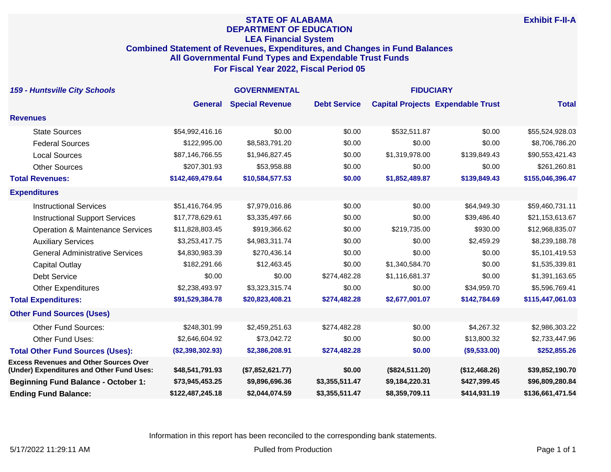#### **STATE OF ALABAMA DEPARTMENT OF EDUCATION LEA Financial System Combined Statement of Revenues, Expenditures, and Changes in Fund Balances All Governmental Fund Types and Expendable Trust Funds For Fiscal Year 2022, Fiscal Period 05**

| <b>159 - Huntsville City Schools</b>                                                       | <b>GOVERNMENTAL</b> |                        |                     | <b>FIDUCIARY</b> |                                          |                  |
|--------------------------------------------------------------------------------------------|---------------------|------------------------|---------------------|------------------|------------------------------------------|------------------|
|                                                                                            | <b>General</b>      | <b>Special Revenue</b> | <b>Debt Service</b> |                  | <b>Capital Projects Expendable Trust</b> | <b>Total</b>     |
| <b>Revenues</b>                                                                            |                     |                        |                     |                  |                                          |                  |
| <b>State Sources</b>                                                                       | \$54,992,416.16     | \$0.00                 | \$0.00              | \$532,511.87     | \$0.00                                   | \$55,524,928.03  |
| <b>Federal Sources</b>                                                                     | \$122,995.00        | \$8,583,791.20         | \$0.00              | \$0.00           | \$0.00                                   | \$8,706,786.20   |
| <b>Local Sources</b>                                                                       | \$87,146,766.55     | \$1,946,827.45         | \$0.00              | \$1,319,978.00   | \$139,849.43                             | \$90,553,421.43  |
| <b>Other Sources</b>                                                                       | \$207,301.93        | \$53,958.88            | \$0.00              | \$0.00           | \$0.00                                   | \$261,260.81     |
| <b>Total Revenues:</b>                                                                     | \$142,469,479.64    | \$10,584,577.53        | \$0.00              | \$1,852,489.87   | \$139,849.43                             | \$155,046,396.47 |
| <b>Expenditures</b>                                                                        |                     |                        |                     |                  |                                          |                  |
| <b>Instructional Services</b>                                                              | \$51,416,764.95     | \$7,979,016.86         | \$0.00              | \$0.00           | \$64,949.30                              | \$59,460,731.11  |
| <b>Instructional Support Services</b>                                                      | \$17,778,629.61     | \$3,335,497.66         | \$0.00              | \$0.00           | \$39,486.40                              | \$21,153,613.67  |
| <b>Operation &amp; Maintenance Services</b>                                                | \$11,828,803.45     | \$919,366.62           | \$0.00              | \$219,735.00     | \$930.00                                 | \$12,968,835.07  |
| <b>Auxiliary Services</b>                                                                  | \$3,253,417.75      | \$4,983,311.74         | \$0.00              | \$0.00           | \$2,459.29                               | \$8,239,188.78   |
| <b>General Administrative Services</b>                                                     | \$4,830,983.39      | \$270,436.14           | \$0.00              | \$0.00           | \$0.00                                   | \$5,101,419.53   |
| <b>Capital Outlay</b>                                                                      | \$182,291.66        | \$12,463.45            | \$0.00              | \$1,340,584.70   | \$0.00                                   | \$1,535,339.81   |
| <b>Debt Service</b>                                                                        | \$0.00              | \$0.00                 | \$274,482.28        | \$1,116,681.37   | \$0.00                                   | \$1,391,163.65   |
| <b>Other Expenditures</b>                                                                  | \$2,238,493.97      | \$3,323,315.74         | \$0.00              | \$0.00           | \$34,959.70                              | \$5,596,769.41   |
| <b>Total Expenditures:</b>                                                                 | \$91,529,384.78     | \$20,823,408.21        | \$274,482.28        | \$2,677,001.07   | \$142,784.69                             | \$115,447,061.03 |
| <b>Other Fund Sources (Uses)</b>                                                           |                     |                        |                     |                  |                                          |                  |
| <b>Other Fund Sources:</b>                                                                 | \$248,301.99        | \$2,459,251.63         | \$274,482.28        | \$0.00           | \$4,267.32                               | \$2,986,303.22   |
| Other Fund Uses:                                                                           | \$2,646,604.92      | \$73,042.72            | \$0.00              | \$0.00           | \$13,800.32                              | \$2,733,447.96   |
| <b>Total Other Fund Sources (Uses):</b>                                                    | (\$2,398,302.93)    | \$2,386,208.91         | \$274,482.28        | \$0.00           | (\$9,533.00)                             | \$252,855.26     |
| <b>Excess Revenues and Other Sources Over</b><br>(Under) Expenditures and Other Fund Uses: | \$48,541,791.93     | (\$7,852,621.77)       | \$0.00              | (\$824,511.20)   | (\$12,468.26)                            | \$39,852,190.70  |
| <b>Beginning Fund Balance - October 1:</b>                                                 | \$73,945,453.25     | \$9,896,696.36         | \$3,355,511.47      | \$9,184,220.31   | \$427,399.45                             | \$96,809,280.84  |
| <b>Ending Fund Balance:</b>                                                                | \$122,487,245.18    | \$2,044,074.59         | \$3,355,511.47      | \$8,359,709.11   | \$414,931.19                             | \$136,661,471.54 |

Information in this report has been reconciled to the corresponding bank statements.

**Exhibit F-II-A**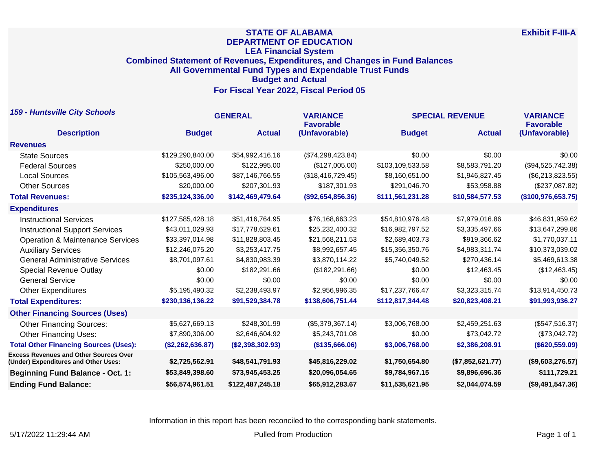## **STATE OF ALABAMA DEPARTMENT OF EDUCATION LEA Financial System Combined Statement of Revenues, Expenditures, and Changes in Fund Balances All Governmental Fund Types and Expendable Trust Funds Budget and Actual For Fiscal Year 2022, Fiscal Period 05**

| <b>159 - Huntsville City Schools</b>                                                  | <b>GENERAL</b>   |                  | <b>VARIANCE</b><br><b>Favorable</b> | <b>SPECIAL REVENUE</b> | <b>VARIANCE</b><br><b>Favorable</b> |                    |
|---------------------------------------------------------------------------------------|------------------|------------------|-------------------------------------|------------------------|-------------------------------------|--------------------|
| <b>Description</b>                                                                    | <b>Budget</b>    | <b>Actual</b>    | (Unfavorable)                       | <b>Budget</b>          | <b>Actual</b>                       | (Unfavorable)      |
| <b>Revenues</b>                                                                       |                  |                  |                                     |                        |                                     |                    |
| <b>State Sources</b>                                                                  | \$129,290,840.00 | \$54,992,416.16  | (\$74,298,423.84)                   | \$0.00                 | \$0.00                              | \$0.00             |
| <b>Federal Sources</b>                                                                | \$250,000.00     | \$122,995.00     | (\$127,005.00)                      | \$103,109,533.58       | \$8,583,791.20                      | (\$94,525,742.38)  |
| <b>Local Sources</b>                                                                  | \$105,563,496.00 | \$87,146,766.55  | (\$18,416,729.45)                   | \$8,160,651.00         | \$1,946,827.45                      | (\$6,213,823.55)   |
| <b>Other Sources</b>                                                                  | \$20,000.00      | \$207,301.93     | \$187,301.93                        | \$291,046.70           | \$53,958.88                         | (\$237,087.82)     |
| <b>Total Revenues:</b>                                                                | \$235,124,336.00 | \$142,469,479.64 | (\$92,654,856.36)                   | \$111,561,231.28       | \$10,584,577.53                     | (\$100,976,653.75) |
| <b>Expenditures</b>                                                                   |                  |                  |                                     |                        |                                     |                    |
| <b>Instructional Services</b>                                                         | \$127,585,428.18 | \$51,416,764.95  | \$76,168,663.23                     | \$54,810,976.48        | \$7,979,016.86                      | \$46,831,959.62    |
| <b>Instructional Support Services</b>                                                 | \$43,011,029.93  | \$17,778,629.61  | \$25,232,400.32                     | \$16,982,797.52        | \$3,335,497.66                      | \$13,647,299.86    |
| <b>Operation &amp; Maintenance Services</b>                                           | \$33,397,014.98  | \$11,828,803.45  | \$21,568,211.53                     | \$2,689,403.73         | \$919,366.62                        | \$1,770,037.11     |
| <b>Auxiliary Services</b>                                                             | \$12,246,075.20  | \$3,253,417.75   | \$8,992,657.45                      | \$15,356,350.76        | \$4,983,311.74                      | \$10,373,039.02    |
| <b>General Administrative Services</b>                                                | \$8,701,097.61   | \$4,830,983.39   | \$3,870,114.22                      | \$5,740,049.52         | \$270,436.14                        | \$5,469,613.38     |
| <b>Special Revenue Outlay</b>                                                         | \$0.00           | \$182,291.66     | (\$182, 291.66)                     | \$0.00                 | \$12,463.45                         | (\$12,463.45)      |
| <b>General Service</b>                                                                | \$0.00           | \$0.00           | \$0.00                              | \$0.00                 | \$0.00                              | \$0.00             |
| <b>Other Expenditures</b>                                                             | \$5,195,490.32   | \$2,238,493.97   | \$2,956,996.35                      | \$17,237,766.47        | \$3,323,315.74                      | \$13,914,450.73    |
| <b>Total Expenditures:</b>                                                            | \$230,136,136.22 | \$91,529,384.78  | \$138,606,751.44                    | \$112,817,344.48       | \$20,823,408.21                     | \$91,993,936.27    |
| <b>Other Financing Sources (Uses)</b>                                                 |                  |                  |                                     |                        |                                     |                    |
| <b>Other Financing Sources:</b>                                                       | \$5,627,669.13   | \$248,301.99     | (\$5,379,367.14)                    | \$3,006,768.00         | \$2,459,251.63                      | (\$547,516.37)     |
| <b>Other Financing Uses:</b>                                                          | \$7,890,306.00   | \$2,646,604.92   | \$5,243,701.08                      | \$0.00                 | \$73,042.72                         | (\$73,042.72)      |
| <b>Total Other Financing Sources (Uses):</b>                                          | (\$2,262,636.87) | (\$2,398,302.93) | (\$135,666.06)                      | \$3,006,768.00         | \$2,386,208.91                      | (\$620,559.09)     |
| <b>Excess Revenues and Other Sources Over</b><br>(Under) Expenditures and Other Uses: | \$2,725,562.91   | \$48,541,791.93  | \$45,816,229.02                     | \$1,750,654.80         | (\$7,852,621.77)                    | (\$9,603,276.57)   |
| <b>Beginning Fund Balance - Oct. 1:</b>                                               | \$53,849,398.60  | \$73,945,453.25  | \$20,096,054.65                     | \$9,784,967.15         | \$9,896,696.36                      | \$111,729.21       |
| <b>Ending Fund Balance:</b>                                                           | \$56,574,961.51  | \$122,487,245.18 | \$65,912,283.67                     | \$11,535,621.95        | \$2,044,074.59                      | (\$9,491,547.36)   |

Information in this report has been reconciled to the corresponding bank statements.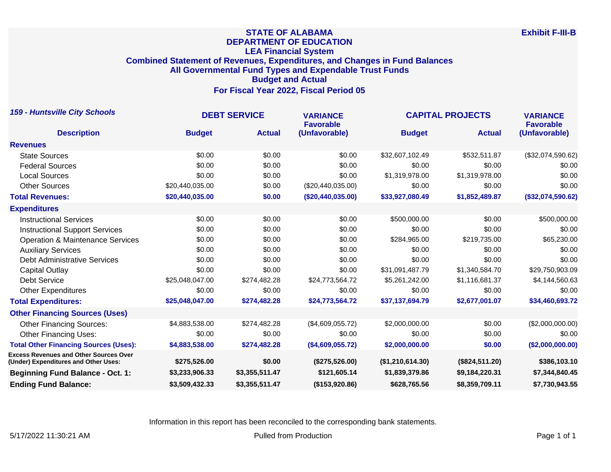## **STATE OF ALABAMA DEPARTMENT OF EDUCATION LEA Financial System Combined Statement of Revenues, Expenditures, and Changes in Fund Balances All Governmental Fund Types and Expendable Trust Funds Budget and Actual For Fiscal Year 2022, Fiscal Period 05**

| <b>159 - Huntsville City Schools</b>                                                  | <b>DEBT SERVICE</b> |                | <b>VARIANCE</b><br><b>Favorable</b> | <b>CAPITAL PROJECTS</b> | <b>VARIANCE</b><br><b>Favorable</b> |                   |
|---------------------------------------------------------------------------------------|---------------------|----------------|-------------------------------------|-------------------------|-------------------------------------|-------------------|
| <b>Description</b>                                                                    | <b>Budget</b>       | <b>Actual</b>  | (Unfavorable)                       | <b>Budget</b>           | <b>Actual</b>                       | (Unfavorable)     |
| <b>Revenues</b>                                                                       |                     |                |                                     |                         |                                     |                   |
| <b>State Sources</b>                                                                  | \$0.00              | \$0.00         | \$0.00                              | \$32,607,102.49         | \$532,511.87                        | (\$32,074,590.62) |
| <b>Federal Sources</b>                                                                | \$0.00              | \$0.00         | \$0.00                              | \$0.00                  | \$0.00                              | \$0.00            |
| <b>Local Sources</b>                                                                  | \$0.00              | \$0.00         | \$0.00                              | \$1,319,978.00          | \$1,319,978.00                      | \$0.00            |
| <b>Other Sources</b>                                                                  | \$20,440,035.00     | \$0.00         | (\$20,440,035.00)                   | \$0.00                  | \$0.00                              | \$0.00            |
| <b>Total Revenues:</b>                                                                | \$20,440,035.00     | \$0.00         | (\$20,440,035.00)                   | \$33,927,080.49         | \$1,852,489.87                      | (\$32,074,590.62) |
| <b>Expenditures</b>                                                                   |                     |                |                                     |                         |                                     |                   |
| <b>Instructional Services</b>                                                         | \$0.00              | \$0.00         | \$0.00                              | \$500,000.00            | \$0.00                              | \$500,000.00      |
| <b>Instructional Support Services</b>                                                 | \$0.00              | \$0.00         | \$0.00                              | \$0.00                  | \$0.00                              | \$0.00            |
| <b>Operation &amp; Maintenance Services</b>                                           | \$0.00              | \$0.00         | \$0.00                              | \$284,965.00            | \$219,735.00                        | \$65,230.00       |
| <b>Auxiliary Services</b>                                                             | \$0.00              | \$0.00         | \$0.00                              | \$0.00                  | \$0.00                              | \$0.00            |
| <b>Debt Administrative Services</b>                                                   | \$0.00              | \$0.00         | \$0.00                              | \$0.00                  | \$0.00                              | \$0.00            |
| Capital Outlay                                                                        | \$0.00              | \$0.00         | \$0.00                              | \$31,091,487.79         | \$1,340,584.70                      | \$29,750,903.09   |
| <b>Debt Service</b>                                                                   | \$25,048,047.00     | \$274,482.28   | \$24,773,564.72                     | \$5,261,242.00          | \$1,116,681.37                      | \$4,144,560.63    |
| <b>Other Expenditures</b>                                                             | \$0.00              | \$0.00         | \$0.00                              | \$0.00                  | \$0.00                              | \$0.00            |
| <b>Total Expenditures:</b>                                                            | \$25,048,047.00     | \$274,482.28   | \$24,773,564.72                     | \$37,137,694.79         | \$2,677,001.07                      | \$34,460,693.72   |
| <b>Other Financing Sources (Uses)</b>                                                 |                     |                |                                     |                         |                                     |                   |
| <b>Other Financing Sources:</b>                                                       | \$4,883,538.00      | \$274,482.28   | (\$4,609,055.72)                    | \$2,000,000.00          | \$0.00                              | (\$2,000,000.00)  |
| <b>Other Financing Uses:</b>                                                          | \$0.00              | \$0.00         | \$0.00                              | \$0.00                  | \$0.00                              | \$0.00            |
| <b>Total Other Financing Sources (Uses):</b>                                          | \$4,883,538.00      | \$274,482.28   | (\$4,609,055.72)                    | \$2,000,000.00          | \$0.00                              | (\$2,000,000.00)  |
| <b>Excess Revenues and Other Sources Over</b><br>(Under) Expenditures and Other Uses: | \$275,526.00        | \$0.00         | (\$275,526.00)                      | (\$1,210,614.30)        | (\$824,511.20)                      | \$386,103.10      |
| <b>Beginning Fund Balance - Oct. 1:</b>                                               | \$3,233,906.33      | \$3,355,511.47 | \$121,605.14                        | \$1,839,379.86          | \$9,184,220.31                      | \$7,344,840.45    |
| <b>Ending Fund Balance:</b>                                                           | \$3,509,432.33      | \$3,355,511.47 | (\$153,920.86)                      | \$628,765.56            | \$8,359,709.11                      | \$7,730,943.55    |

Information in this report has been reconciled to the corresponding bank statements.

5/17/2022 11:30:21 AM Pulled from Production Production Production Production Production